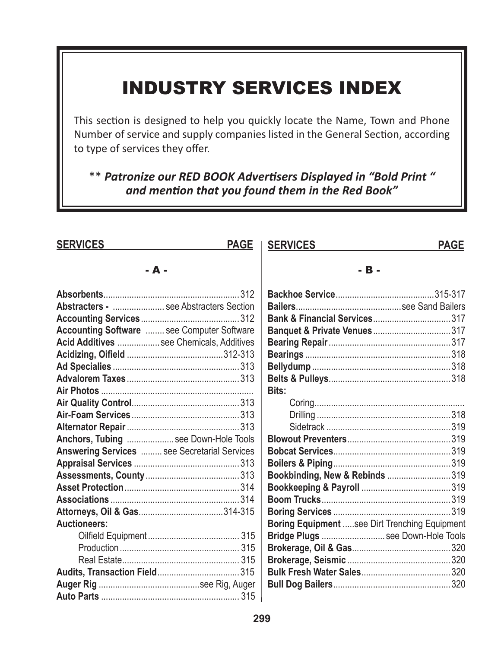# **INDUSTRY SERVICES INDEX**

This section is designed to help you quickly locate the Name, Town and Phone Number of service and supply companies listed in the General Section, according to type of services they offer.

\*\* Patronize our RED BOOK Advertisers Displayed in "Bold Print " and mention that you found them in the Red Book"

| <b>SERVICES</b>                                     | <b>PAGE</b> | <b>SERVICES</b>                                      | <b>PAGE</b> |
|-----------------------------------------------------|-------------|------------------------------------------------------|-------------|
| - А -                                               |             | - B -                                                |             |
|                                                     |             |                                                      |             |
| <b>Abstracters -  see Abstracters Section</b>       |             |                                                      |             |
|                                                     |             |                                                      |             |
| <b>Accounting Software  see Computer Software</b>   |             |                                                      |             |
| Acid Additives  see Chemicals, Additives            |             |                                                      |             |
|                                                     |             |                                                      |             |
|                                                     |             |                                                      |             |
|                                                     |             |                                                      |             |
|                                                     |             | <b>Bits:</b>                                         |             |
|                                                     |             |                                                      |             |
|                                                     |             |                                                      |             |
|                                                     |             |                                                      |             |
| Anchors, Tubing  see Down-Hole Tools                |             |                                                      |             |
| <b>Answering Services  see Secretarial Services</b> |             |                                                      |             |
|                                                     |             |                                                      |             |
|                                                     |             | Bookbinding, New & Rebinds 319                       |             |
|                                                     |             |                                                      |             |
|                                                     |             |                                                      |             |
|                                                     |             |                                                      |             |
| <b>Auctioneers:</b>                                 |             | <b>Boring Equipment see Dirt Trenching Equipment</b> |             |
|                                                     |             | Bridge Plugs  see Down-Hole Tools                    |             |
|                                                     |             |                                                      |             |
|                                                     |             |                                                      |             |
|                                                     |             |                                                      |             |
|                                                     |             |                                                      |             |
|                                                     |             |                                                      |             |